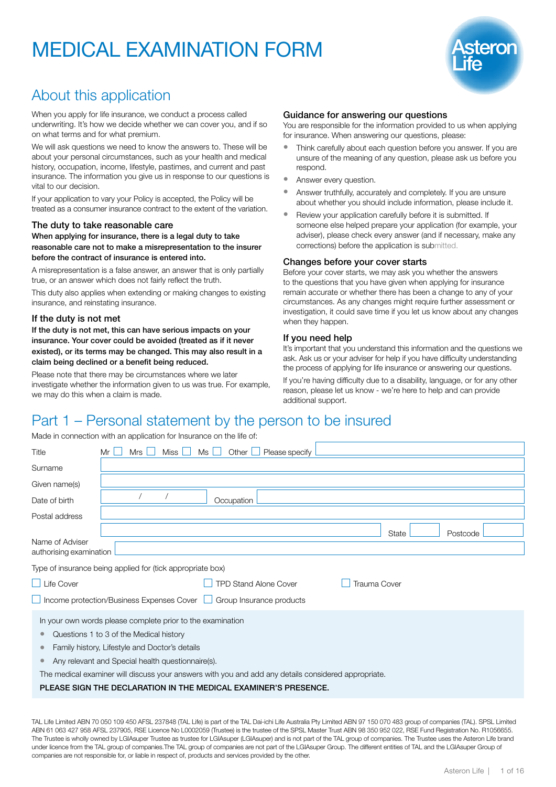# MEDICAL EXAMINATION FORM



### About this application

When you apply for life insurance, we conduct a process called underwriting. It's how we decide whether we can cover you, and if so on what terms and for what premium.

We will ask questions we need to know the answers to. These will be about your personal circumstances, such as your health and medical history, occupation, income, lifestyle, pastimes, and current and past insurance. The information you give us in response to our questions is vital to our decision.

If your application to vary your Policy is accepted, the Policy will be treated as a consumer insurance contract to the extent of the variation.

#### The duty to take reasonable care

When applying for insurance, there is a legal duty to take reasonable care not to make a misrepresentation to the insurer before the contract of insurance is entered into.

A misrepresentation is a false answer, an answer that is only partially true, or an answer which does not fairly reflect the truth.

This duty also applies when extending or making changes to existing insurance, and reinstating insurance.

#### If the duty is not met

If the duty is not met, this can have serious impacts on your insurance. Your cover could be avoided (treated as if it never existed), or its terms may be changed. This may also result in a claim being declined or a benefit being reduced.

Please note that there may be circumstances where we later investigate whether the information given to us was true. For example, we may do this when a claim is made.

#### Guidance for answering our questions

You are responsible for the information provided to us when applying for insurance. When answering our questions, please:

- Think carefully about each question before you answer. If you are unsure of the meaning of any question, please ask us before you respond.
- Answer every question.
- Answer truthfully, accurately and completely. If you are unsure about whether you should include information, please include it.
- Review your application carefully before it is submitted. If someone else helped prepare your application (for example, your adviser), please check every answer (and if necessary, make any corrections) before the application is submitted.

#### Changes before your cover starts

Before your cover starts, we may ask you whether the answers to the questions that you have given when applying for insurance remain accurate or whether there has been a change to any of your circumstances. As any changes might require further assessment or investigation, it could save time if you let us know about any changes when they happen.

#### If you need help

It's important that you understand this information and the questions we ask. Ask us or your adviser for help if you have difficulty understanding the process of applying for life insurance or answering our questions.

If you're having difficulty due to a disability, language, or for any other reason, please let us know - we're here to help and can provide additional support.

### Part 1 – Personal statement by the person to be insured

Made in connection with an application for Insurance on the life of:

| Title                                                      | Mrs<br>Mr                                                       | Miss I | Ms<br>Other L                                                                                       | Please specify |                     |       |          |  |
|------------------------------------------------------------|-----------------------------------------------------------------|--------|-----------------------------------------------------------------------------------------------------|----------------|---------------------|-------|----------|--|
| Surname                                                    |                                                                 |        |                                                                                                     |                |                     |       |          |  |
| Given name(s)                                              |                                                                 |        |                                                                                                     |                |                     |       |          |  |
| Date of birth                                              |                                                                 |        | Occupation                                                                                          |                |                     |       |          |  |
| Postal address                                             |                                                                 |        |                                                                                                     |                |                     |       |          |  |
|                                                            |                                                                 |        |                                                                                                     |                |                     | State | Postcode |  |
| Name of Adviser<br>authorising examination                 |                                                                 |        |                                                                                                     |                |                     |       |          |  |
| Type of insurance being applied for (tick appropriate box) |                                                                 |        |                                                                                                     |                |                     |       |          |  |
|                                                            |                                                                 |        |                                                                                                     |                |                     |       |          |  |
| Life Cover                                                 |                                                                 |        | <b>TPD Stand Alone Cover</b>                                                                        |                | <b>Trauma Cover</b> |       |          |  |
|                                                            |                                                                 |        | Income protection/Business Expenses Cover   Group Insurance products                                |                |                     |       |          |  |
|                                                            | In your own words please complete prior to the examination      |        |                                                                                                     |                |                     |       |          |  |
|                                                            | Questions 1 to 3 of the Medical history                         |        |                                                                                                     |                |                     |       |          |  |
| Family history, Lifestyle and Doctor's details             |                                                                 |        |                                                                                                     |                |                     |       |          |  |
|                                                            | Any relevant and Special health questionnaire(s).               |        |                                                                                                     |                |                     |       |          |  |
|                                                            |                                                                 |        | The medical examiner will discuss your answers with you and add any details considered appropriate. |                |                     |       |          |  |
|                                                            |                                                                 |        |                                                                                                     |                |                     |       |          |  |
|                                                            | PLEASE SIGN THE DECLARATION IN THE MEDICAL EXAMINER'S PRESENCE. |        |                                                                                                     |                |                     |       |          |  |

TAL Life Limited ABN 70 050 109 450 AFSL 237848 (TAL Life) is part of the TAL Dai-ichi Life Australia Pty Limited ABN 97 150 070 483 group of companies (TAL). SPSL Limited ABN 61 063 427 958 AFSL 237905, RSE Licence No L0002059 (Trustee) is the trustee of the SPSL Master Trust ABN 98 350 952 022, RSE Fund Registration No. R1056655. The Trustee is wholly owned by LGIAsuper Trustee as trustee for LGIAsuper (LGIAsuper) and is not part of the TAL group of companies. The Trustee uses the Asteron Life brand under licence from the TAL group of companies.The TAL group of companies are not part of the LGIAsuper Group. The different entities of TAL and the LGIAsuper Group of companies are not responsible for, or liable in respect of, products and services provided by the other.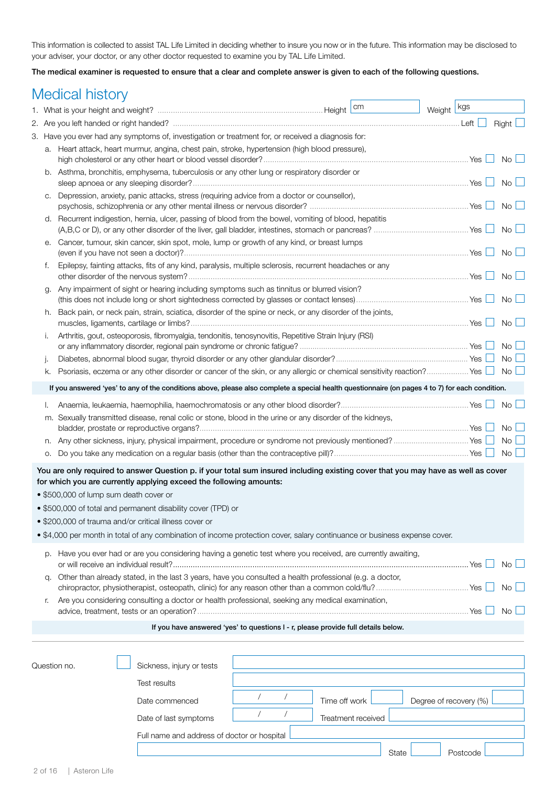This information is collected to assist TAL Life Limited in deciding whether to insure you now or in the future. This information may be disclosed to your adviser, your doctor, or any other doctor requested to examine you by TAL Life Limited.

 $\overline{a}$ 

The medical examiner is requested to ensure that a clear and complete answer is given to each of the following questions.

### Medical history

|              | muuluu muun y                                                                                    |                                                                                                                                                                                                                                                                                                                                                                                                      |                                  |                                     |        |                        |                 |
|--------------|--------------------------------------------------------------------------------------------------|------------------------------------------------------------------------------------------------------------------------------------------------------------------------------------------------------------------------------------------------------------------------------------------------------------------------------------------------------------------------------------------------------|----------------------------------|-------------------------------------|--------|------------------------|-----------------|
|              |                                                                                                  |                                                                                                                                                                                                                                                                                                                                                                                                      |                                  | cm                                  | Weight | kgs                    |                 |
|              |                                                                                                  |                                                                                                                                                                                                                                                                                                                                                                                                      |                                  |                                     |        |                        | Right $\Box$    |
|              |                                                                                                  | 3. Have you ever had any symptoms of, investigation or treatment for, or received a diagnosis for:                                                                                                                                                                                                                                                                                                   |                                  |                                     |        |                        |                 |
|              |                                                                                                  | a. Heart attack, heart murmur, angina, chest pain, stroke, hypertension (high blood pressure),                                                                                                                                                                                                                                                                                                       |                                  |                                     |        |                        | No l            |
|              |                                                                                                  | b. Asthma, bronchitis, emphysema, tuberculosis or any other lung or respiratory disorder or                                                                                                                                                                                                                                                                                                          |                                  |                                     |        |                        | No <sub>1</sub> |
| C.           |                                                                                                  | Depression, anxiety, panic attacks, stress (requiring advice from a doctor or counsellor),                                                                                                                                                                                                                                                                                                           |                                  |                                     |        |                        | No              |
| d.           |                                                                                                  | Recurrent indigestion, hernia, ulcer, passing of blood from the bowel, vomiting of blood, hepatitis                                                                                                                                                                                                                                                                                                  |                                  |                                     |        |                        | No.             |
| е.           |                                                                                                  | Cancer, tumour, skin cancer, skin spot, mole, lump or growth of any kind, or breast lumps                                                                                                                                                                                                                                                                                                            |                                  |                                     |        |                        | No.             |
| f.           |                                                                                                  | Epilepsy, fainting attacks, fits of any kind, paralysis, multiple sclerosis, recurrent headaches or any                                                                                                                                                                                                                                                                                              |                                  |                                     |        |                        | <b>No</b>       |
| g.           |                                                                                                  | Any impairment of sight or hearing including symptoms such as tinnitus or blurred vision?                                                                                                                                                                                                                                                                                                            |                                  |                                     |        |                        | <b>No</b>       |
| h.           |                                                                                                  | Back pain, or neck pain, strain, sciatica, disorder of the spine or neck, or any disorder of the joints,                                                                                                                                                                                                                                                                                             |                                  |                                     |        |                        | No <sub>1</sub> |
| i.           |                                                                                                  | Arthritis, gout, osteoporosis, fibromyalgia, tendonitis, tenosynovitis, Repetitive Strain Injury (RSI)                                                                                                                                                                                                                                                                                               |                                  |                                     |        |                        | No.             |
| $\mathbf{L}$ |                                                                                                  |                                                                                                                                                                                                                                                                                                                                                                                                      |                                  |                                     |        |                        | No              |
| k.           |                                                                                                  | Psoriasis, eczema or any other disorder or cancer of the skin, or any allergic or chemical sensitivity reaction? Yes                                                                                                                                                                                                                                                                                 |                                  |                                     |        |                        | No l            |
|              |                                                                                                  | If you answered 'yes' to any of the conditions above, please also complete a special health questionnaire (on pages 4 to 7) for each condition.                                                                                                                                                                                                                                                      |                                  |                                     |        |                        |                 |
|              |                                                                                                  |                                                                                                                                                                                                                                                                                                                                                                                                      |                                  |                                     |        |                        | No l            |
|              |                                                                                                  | m. Sexually transmitted disease, renal colic or stone, blood in the urine or any disorder of the kidneys,                                                                                                                                                                                                                                                                                            |                                  |                                     |        |                        | <b>No</b>       |
| n.           |                                                                                                  | Any other sickness, injury, physical impairment, procedure or syndrome not previously mentioned? Yes                                                                                                                                                                                                                                                                                                 |                                  |                                     |        |                        | No              |
| О.           |                                                                                                  |                                                                                                                                                                                                                                                                                                                                                                                                      |                                  |                                     |        |                        | No              |
|              | • \$500,000 of lump sum death cover or<br>• \$200,000 of trauma and/or critical illness cover or | You are only required to answer Question p. if your total sum insured including existing cover that you may have as well as cover<br>for which you are currently applying exceed the following amounts:<br>• \$500,000 of total and permanent disability cover (TPD) or<br>• \$4,000 per month in total of any combination of income protection cover, salary continuance or business expense cover. |                                  |                                     |        |                        |                 |
| p.<br>q.     |                                                                                                  | Have you ever had or are you considering having a genetic test where you received, are currently awaiting,<br>Other than already stated, in the last 3 years, have you consulted a health professional (e.g. a doctor,                                                                                                                                                                               |                                  |                                     |        |                        | No I            |
| r.           |                                                                                                  | Are you considering consulting a doctor or health professional, seeking any medical examination,                                                                                                                                                                                                                                                                                                     |                                  |                                     |        |                        | No.             |
|              |                                                                                                  |                                                                                                                                                                                                                                                                                                                                                                                                      |                                  |                                     |        |                        | No.             |
|              |                                                                                                  | If you have answered 'yes' to questions I - r, please provide full details below.                                                                                                                                                                                                                                                                                                                    |                                  |                                     |        |                        |                 |
|              | Question no.                                                                                     | Sickness, injury or tests<br>Test results                                                                                                                                                                                                                                                                                                                                                            |                                  |                                     |        |                        |                 |
|              |                                                                                                  |                                                                                                                                                                                                                                                                                                                                                                                                      | $\overline{1}$<br>$\overline{1}$ |                                     |        |                        |                 |
|              |                                                                                                  | Date commenced<br>Date of last symptoms                                                                                                                                                                                                                                                                                                                                                              |                                  | Time off work<br>Treatment received |        | Degree of recovery (%) |                 |
|              |                                                                                                  |                                                                                                                                                                                                                                                                                                                                                                                                      |                                  |                                     |        |                        |                 |
|              |                                                                                                  | Full name and address of doctor or hospital                                                                                                                                                                                                                                                                                                                                                          |                                  |                                     |        |                        |                 |
|              |                                                                                                  |                                                                                                                                                                                                                                                                                                                                                                                                      |                                  |                                     | State  | Postcode               |                 |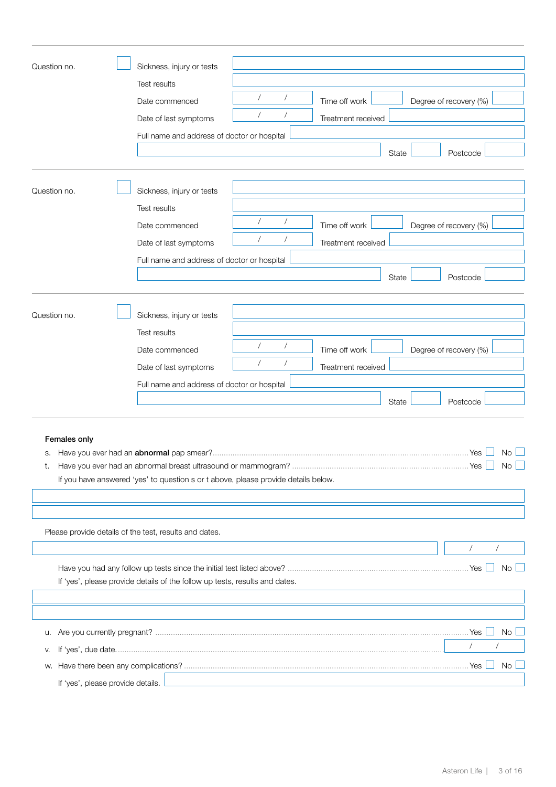| Question no.                      | Sickness, injury or tests                                                          |                |                |                    |       |                        |          |           |
|-----------------------------------|------------------------------------------------------------------------------------|----------------|----------------|--------------------|-------|------------------------|----------|-----------|
|                                   | Test results                                                                       |                |                |                    |       |                        |          |           |
|                                   | Date commenced                                                                     |                |                | Time off work      |       | Degree of recovery (%) |          |           |
|                                   | Date of last symptoms                                                              |                |                | Treatment received |       |                        |          |           |
|                                   | Full name and address of doctor or hospital                                        |                |                |                    |       |                        |          |           |
|                                   |                                                                                    |                |                |                    | State | Postcode               |          |           |
|                                   |                                                                                    |                |                |                    |       |                        |          |           |
| Question no.                      | Sickness, injury or tests                                                          |                |                |                    |       |                        |          |           |
|                                   | Test results                                                                       |                |                |                    |       |                        |          |           |
|                                   | Date commenced                                                                     |                |                | Time off work      |       | Degree of recovery (%) |          |           |
|                                   | Date of last symptoms                                                              | $\sqrt{2}$     | $\overline{1}$ | Treatment received |       |                        |          |           |
|                                   | Full name and address of doctor or hospital                                        |                |                |                    |       |                        |          |           |
|                                   |                                                                                    |                |                |                    | State | Postcode               |          |           |
|                                   |                                                                                    |                |                |                    |       |                        |          |           |
|                                   |                                                                                    |                |                |                    |       |                        |          |           |
| Question no.                      | Sickness, injury or tests                                                          |                |                |                    |       |                        |          |           |
|                                   | <b>Test results</b>                                                                |                |                |                    |       |                        |          |           |
|                                   | Date commenced                                                                     | $\overline{1}$ |                | Time off work      |       | Degree of recovery (%) |          |           |
|                                   | Date of last symptoms                                                              | $\prime$       |                | Treatment received |       |                        |          |           |
|                                   | Full name and address of doctor or hospital                                        |                |                |                    |       |                        |          |           |
|                                   |                                                                                    |                |                |                    | State | Postcode               |          |           |
|                                   |                                                                                    |                |                |                    |       |                        |          |           |
| Females only                      |                                                                                    |                |                |                    |       |                        |          |           |
|                                   |                                                                                    |                |                |                    |       |                        |          | No        |
| t.                                |                                                                                    |                |                |                    |       |                        |          |           |
|                                   | If you have answered 'yes' to question s or t above, please provide details below. |                |                |                    |       |                        |          |           |
|                                   |                                                                                    |                |                |                    |       |                        |          |           |
|                                   |                                                                                    |                |                |                    |       |                        |          |           |
|                                   | Please provide details of the test, results and dates.                             |                |                |                    |       |                        |          |           |
|                                   |                                                                                    |                |                |                    |       | $\sqrt{2}$             | $\prime$ |           |
|                                   |                                                                                    |                |                |                    |       |                        |          | No.       |
|                                   | If 'yes', please provide details of the follow up tests, results and dates.        |                |                |                    |       |                        |          |           |
|                                   |                                                                                    |                |                |                    |       |                        |          |           |
|                                   |                                                                                    |                |                |                    |       |                        |          |           |
| u.                                |                                                                                    |                |                |                    |       |                        |          | No        |
| V.                                |                                                                                    |                |                |                    |       | $\overline{1}$         |          |           |
| W.                                |                                                                                    |                |                |                    |       |                        |          | <b>No</b> |
| If 'yes', please provide details. |                                                                                    |                |                |                    |       |                        |          |           |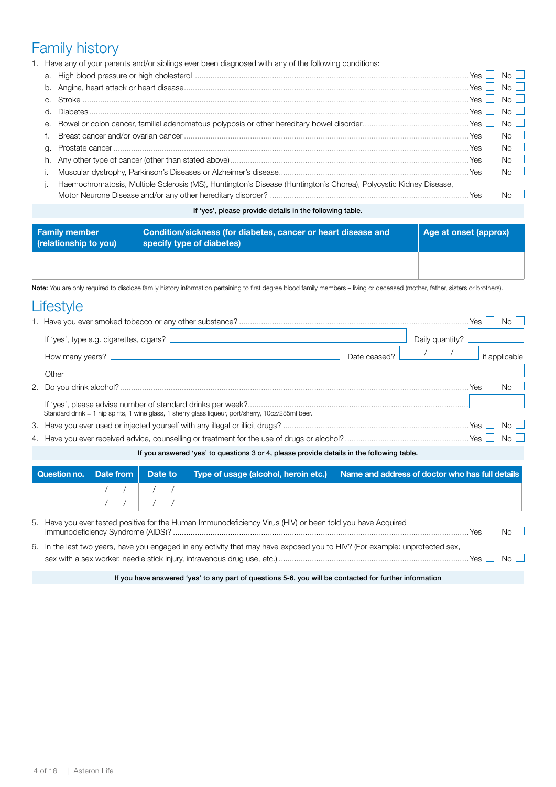### Family history

|    | 1. Have any of your parents and/or siblings ever been diagnosed with any of the following conditions:             |       |       |
|----|-------------------------------------------------------------------------------------------------------------------|-------|-------|
|    |                                                                                                                   |       | $N_0$ |
| b. |                                                                                                                   |       | $N_0$ |
|    |                                                                                                                   |       | No II |
| d  | $Diabetes$ $\ldots$ $\ldots$ $\ldots$ $\ldots$ $\ldots$ $\ldots$ $\ldots$                                         |       |       |
| е. |                                                                                                                   |       |       |
|    |                                                                                                                   |       |       |
| q. |                                                                                                                   |       |       |
|    |                                                                                                                   |       |       |
|    |                                                                                                                   |       |       |
|    | Haemochromatosis, Multiple Sclerosis (MS), Huntington's Disease (Huntington's Chorea), Polycystic Kidney Disease, | Yes I |       |
|    |                                                                                                                   |       |       |

#### If 'yes', please provide details in the following table.

| <b>Family member</b><br>(relationship to you) | Condition/sickness (for diabetes, cancer or heart disease and<br>specify type of diabetes) | Age at onset (approx) |  |
|-----------------------------------------------|--------------------------------------------------------------------------------------------|-----------------------|--|
|                                               |                                                                                            |                       |  |
|                                               |                                                                                            |                       |  |

Note: You are only required to disclose family history information pertaining to first degree blood family members – living or deceased (mother, father, sisters or brothers).

### **Lifestyle**

| Yes                                                                                                 |
|-----------------------------------------------------------------------------------------------------|
| If 'yes', type e.g. cigarettes, cigars?<br>Daily quantity?                                          |
| if applicable<br>How many years?<br>Date ceased?                                                    |
| Other                                                                                               |
| Yes.<br>No L                                                                                        |
| Standard drink = 1 nip spirits, 1 wine glass, 1 sherry glass liqueur, port/sherry, 10oz/285ml beer. |
| No II<br>Yes I                                                                                      |
| $Yes$   No                                                                                          |
| If you answered 'yes' to questions 3 or 4, please provide details in the following table.           |

|                                                                                                                                       | Question no.   Date from   Date to                                                                                                                                                                                                                                                                                                                                                                                                                                                                                                                                    |  |  |  |  |  | <b>Type of usage (alcohol, heroin etc.)</b> | Name and address of doctor who has full details |
|---------------------------------------------------------------------------------------------------------------------------------------|-----------------------------------------------------------------------------------------------------------------------------------------------------------------------------------------------------------------------------------------------------------------------------------------------------------------------------------------------------------------------------------------------------------------------------------------------------------------------------------------------------------------------------------------------------------------------|--|--|--|--|--|---------------------------------------------|-------------------------------------------------|
|                                                                                                                                       |                                                                                                                                                                                                                                                                                                                                                                                                                                                                                                                                                                       |  |  |  |  |  |                                             |                                                 |
|                                                                                                                                       | $\begin{array}{cc} \begin{array}{ccccccc} \end{array} & \begin{array}{cc} \end{array} & \begin{array}{cc} \end{array} & \begin{array}{cc} \end{array} & \begin{array}{cc} \end{array} & \begin{array}{cc} \end{array} & \begin{array}{cc} \end{array} & \begin{array}{cc} \end{array} & \begin{array}{cc} \end{array} & \begin{array}{cc} \end{array} & \begin{array}{cc} \end{array} & \begin{array}{cc} \end{array} & \begin{array}{cc} \end{array} & \begin{array}{cc} \end{array} & \begin{array}{cc} \end{array} & \begin{array}{cc} \end{array} & \begin{array$ |  |  |  |  |  |                                             |                                                 |
| 5. Have you ever tested positive for the Human Immunodeficiency Virus (HIV) or been told you have Acquired<br>$N \cap$ $\Box$<br>Yes. |                                                                                                                                                                                                                                                                                                                                                                                                                                                                                                                                                                       |  |  |  |  |  |                                             |                                                 |

| 6. In the last two years, have you engaged in any activity that may have exposed you to HIV? (For example: unprotected sex,        |  |
|------------------------------------------------------------------------------------------------------------------------------------|--|
| sex with a sex worker, needle stick injury, intravenous drug use, etc.) ………………………………………………………………………………… Yes $\square$ No $\square$ |  |

If you have answered 'yes' to any part of questions 5-6, you will be contacted for further information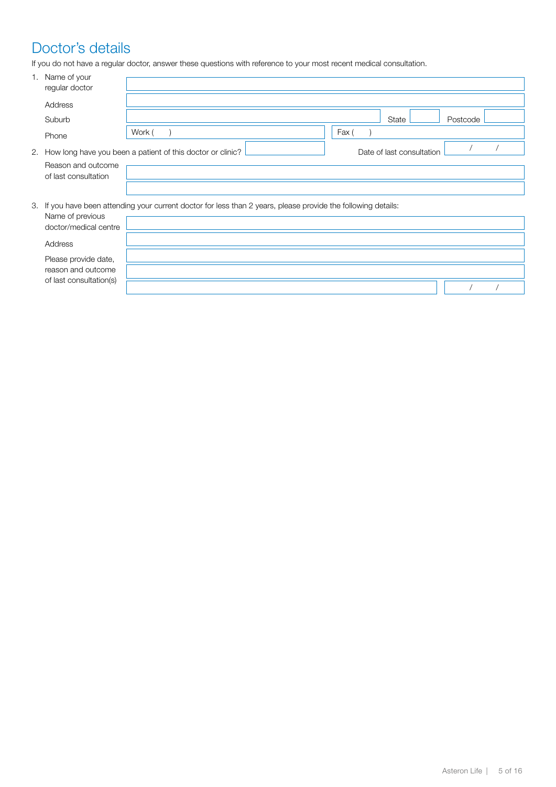### Doctor's details

If you do not have a regular doctor, answer these questions with reference to your most recent medical consultation.

| 1. Name of your<br>regular doctor          |                                                                                                             |                           |          |
|--------------------------------------------|-------------------------------------------------------------------------------------------------------------|---------------------------|----------|
| Address                                    |                                                                                                             |                           |          |
| Suburb                                     |                                                                                                             | State                     | Postcode |
| Phone                                      | Work (                                                                                                      | Fax (                     |          |
| 2.                                         | How long have you been a patient of this doctor or clinic?                                                  | Date of last consultation |          |
| Reason and outcome<br>of last consultation |                                                                                                             |                           |          |
|                                            |                                                                                                             |                           |          |
| З.                                         | If you have been attending your current doctor for less than 2 years, please provide the following details: |                           |          |
| Name of previous<br>doctor/medical centre  |                                                                                                             |                           |          |
| <b>Address</b>                             |                                                                                                             |                           |          |
| Please provide date,                       |                                                                                                             |                           |          |
| reason and outcome                         |                                                                                                             |                           |          |
| of last consultation(s)                    |                                                                                                             |                           |          |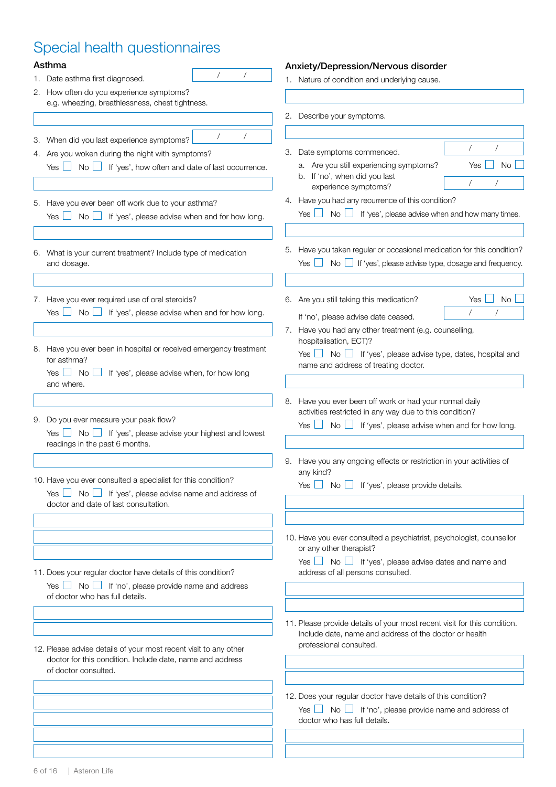| Asthma                                                                      | Anxiety/Depression/Nervous disorder                                      |  |  |  |  |
|-----------------------------------------------------------------------------|--------------------------------------------------------------------------|--|--|--|--|
| 1. Date asthma first diagnosed.                                             | 1. Nature of condition and underlying cause.                             |  |  |  |  |
| 2. How often do you experience symptoms?                                    |                                                                          |  |  |  |  |
| e.g. wheezing, breathlessness, chest tightness.                             |                                                                          |  |  |  |  |
|                                                                             | 2. Describe your symptoms.                                               |  |  |  |  |
|                                                                             |                                                                          |  |  |  |  |
| 3. When did you last experience symptoms?                                   |                                                                          |  |  |  |  |
| 4. Are you woken during the night with symptoms?                            | Date symptoms commenced.<br>З.                                           |  |  |  |  |
|                                                                             | a. Are you still experiencing symptoms?<br><b>No</b><br>Yes              |  |  |  |  |
|                                                                             | b. If 'no', when did you last<br>experience symptoms?                    |  |  |  |  |
|                                                                             | 4. Have you had any recurrence of this condition?                        |  |  |  |  |
| 5. Have you ever been off work due to your asthma?                          | Yes $\Box$ No $\Box$ If 'yes', please advise when and how many times.    |  |  |  |  |
| $No$ $\Box$<br>If 'yes', please advise when and for how long.<br>Yes $\Box$ |                                                                          |  |  |  |  |
|                                                                             |                                                                          |  |  |  |  |
| 6. What is your current treatment? Include type of medication               | 5. Have you taken regular or occasional medication for this condition?   |  |  |  |  |
| and dosage.                                                                 | Yes $\Box$ No $\Box$ If 'yes', please advise type, dosage and frequency. |  |  |  |  |
|                                                                             |                                                                          |  |  |  |  |
| 7. Have you ever required use of oral steroids?                             | 6. Are you still taking this medication?<br>Yes<br>No                    |  |  |  |  |
| Yes $\Box$ No $\Box$ If 'yes', please advise when and for how long.         | If 'no', please advise date ceased.                                      |  |  |  |  |
|                                                                             | 7. Have you had any other treatment (e.g. counselling,                   |  |  |  |  |
|                                                                             | hospitalisation, ECT)?                                                   |  |  |  |  |
| 8. Have you ever been in hospital or received emergency treatment           | Yes No If 'yes', please advise type, dates, hospital and                 |  |  |  |  |
| for asthma?                                                                 | name and address of treating doctor.                                     |  |  |  |  |
| Yes $\Box$<br>No<br>If 'yes', please advise when, for how long              |                                                                          |  |  |  |  |
| and where.                                                                  |                                                                          |  |  |  |  |
|                                                                             | 8. Have you ever been off work or had your normal daily                  |  |  |  |  |
| 9. Do you ever measure your peak flow?                                      | activities restricted in any way due to this condition?                  |  |  |  |  |
|                                                                             | Yes $\Box$ No $\Box$ If 'yes', please advise when and for how long.      |  |  |  |  |
| readings in the past 6 months.                                              |                                                                          |  |  |  |  |
|                                                                             | 9. Have you any ongoing effects or restriction in your activities of     |  |  |  |  |
|                                                                             | any kind?                                                                |  |  |  |  |
| 10. Have you ever consulted a specialist for this condition?                | If 'yes', please provide details.<br>Yes $\Box$<br>$\mathsf{No} \ \Box$  |  |  |  |  |
| Yes $\Box$ No $\Box$ If 'yes', please advise name and address of            |                                                                          |  |  |  |  |
| doctor and date of last consultation.                                       |                                                                          |  |  |  |  |
|                                                                             |                                                                          |  |  |  |  |
|                                                                             | 10. Have you ever consulted a psychiatrist, psychologist, counsellor     |  |  |  |  |
|                                                                             | or any other therapist?                                                  |  |  |  |  |
|                                                                             |                                                                          |  |  |  |  |
| 11. Does your regular doctor have details of this condition?                | address of all persons consulted.                                        |  |  |  |  |
| of doctor who has full details.                                             |                                                                          |  |  |  |  |
|                                                                             |                                                                          |  |  |  |  |
|                                                                             | 11. Please provide details of your most recent visit for this condition. |  |  |  |  |
|                                                                             | Include date, name and address of the doctor or health                   |  |  |  |  |
| 12. Please advise details of your most recent visit to any other            | professional consulted.                                                  |  |  |  |  |
| doctor for this condition. Include date, name and address                   |                                                                          |  |  |  |  |
| of doctor consulted.                                                        |                                                                          |  |  |  |  |
|                                                                             |                                                                          |  |  |  |  |
|                                                                             | 12. Does your regular doctor have details of this condition?             |  |  |  |  |
|                                                                             | Yes $\Box$ No $\Box$ If 'no', please provide name and address of         |  |  |  |  |
|                                                                             | doctor who has full details.                                             |  |  |  |  |
|                                                                             |                                                                          |  |  |  |  |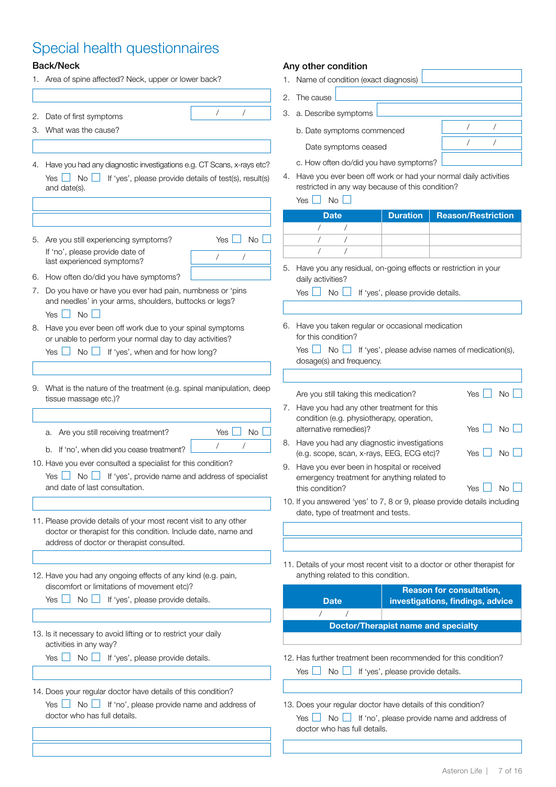### Back/Neck

|    |                                                                                                                                                                                                   |                  |    | Any vuivi vuivi                                                                               |
|----|---------------------------------------------------------------------------------------------------------------------------------------------------------------------------------------------------|------------------|----|-----------------------------------------------------------------------------------------------|
|    | 1. Area of spine affected? Neck, upper or lower back?                                                                                                                                             |                  |    | 1. Name of condition                                                                          |
|    |                                                                                                                                                                                                   |                  | 2. | The cause                                                                                     |
| 2. | Date of first symptoms                                                                                                                                                                            | $\prime$<br>Τ    | З. | a. Describe sym                                                                               |
| З. | What was the cause?                                                                                                                                                                               |                  |    | b. Date symptor                                                                               |
|    |                                                                                                                                                                                                   |                  |    | Date symptor                                                                                  |
| 4. | Have you had any diagnostic investigations e.g. CT Scans, x-rays etc?                                                                                                                             |                  |    | c. How often do                                                                               |
|    | No.<br>If 'yes', please provide details of test(s), result(s)<br>Yes<br>and date(s).                                                                                                              |                  | 4. | Have you ever b<br>restricted in any                                                          |
|    |                                                                                                                                                                                                   |                  |    | No l<br>Yes                                                                                   |
|    |                                                                                                                                                                                                   |                  |    | <b>Date</b><br>$\sqrt{2}$<br>$\sqrt{2}$                                                       |
| 5. | Are you still experiencing symptoms?                                                                                                                                                              | <b>No</b><br>Yes |    | $\sqrt{2}$<br>$\sqrt{2}$                                                                      |
|    | If 'no', please provide date of<br>last experienced symptoms?                                                                                                                                     | $\sqrt{2}$<br>Γ  |    | /                                                                                             |
| 6. | How often do/did you have symptoms?                                                                                                                                                               |                  |    | 5. Have you any re<br>daily activities?                                                       |
| 7. | Do you have or have you ever had pain, numbness or 'pins<br>and needles' in your arms, shoulders, buttocks or legs?<br><b>No</b><br>Yes                                                           |                  |    | Yes<br>No l                                                                                   |
| 8. | Have you ever been off work due to your spinal symptoms<br>or unable to perform your normal day to day activities?<br>$No$ $\Box$<br>If 'yes', when and for how long?<br>Yes L                    |                  |    | 6. Have you taken<br>for this condition<br>$\overline{N}$ o $\Box$<br>Yes<br>dosage(s) and fr |
|    |                                                                                                                                                                                                   |                  |    |                                                                                               |
| 9. | What is the nature of the treatment (e.g. spinal manipulation, deep<br>tissue massage etc.)?                                                                                                      |                  | 7. | Are you still takir<br>Have you had ar                                                        |
|    | Are you still receiving treatment?<br>a.                                                                                                                                                          | No.<br>Yes       |    | condition (e.g. p<br>alternative remed                                                        |
|    | b. If 'no', when did you cease treatment?                                                                                                                                                         |                  | 8. | Have you had ar<br>(e.g. scope, scar                                                          |
|    | 10. Have you ever consulted a specialist for this condition?<br>$\overline{\mathsf{N}}$ o $\Box$ If 'yes', provide name and address of specialist<br>Yes $\Box$<br>and date of last consultation. |                  | 9. | Have you ever b<br>emergency treat<br>this condition?                                         |
|    |                                                                                                                                                                                                   |                  |    | 10. If you answered<br>date, type of trea                                                     |
|    | 11. Please provide details of your most recent visit to any other<br>doctor or therapist for this condition. Include date, name and<br>address of doctor or therapist consulted.                  |                  |    |                                                                                               |
|    |                                                                                                                                                                                                   |                  |    | 11. Details of your m                                                                         |
|    | 12. Have you had any ongoing effects of any kind (e.g. pain,<br>discomfort or limitations of movement etc)?                                                                                       |                  |    | anything related                                                                              |
|    | $No$ $\Box$<br>If 'yes', please provide details.<br>Yes I                                                                                                                                         |                  |    | <b>Date</b>                                                                                   |
|    |                                                                                                                                                                                                   |                  |    | $\prime$                                                                                      |
|    | 13. Is it necessary to avoid lifting or to restrict your daily<br>activities in any way?                                                                                                          |                  |    | <b>Docto</b>                                                                                  |
|    | No<br>If 'yes', please provide details.<br>Yes                                                                                                                                                    |                  |    | 12. Has further treat<br><b>No</b><br><b>Yes</b>                                              |
|    | 14. Does your regular doctor have details of this condition?                                                                                                                                      |                  |    |                                                                                               |
|    | Yes<br>No.<br>If 'no', please provide name and address of<br>doctor who has full details.                                                                                                         |                  |    | 13. Does your regula<br>Yes  <br>No l<br>doctor who has                                       |
|    |                                                                                                                                                                                                   |                  |    |                                                                                               |

#### Any other condition

|  | 1. Name of condition (exact diagnosis) |  |
|--|----------------------------------------|--|
|  |                                        |  |

- ptoms
- 

b. Date symptoms commenced / /  $\overline{\phantom{0}}$   $\overline{\phantom{0}}$  /  $\overline{\phantom{0}}$  /  $\overline{\phantom{0}}$  /  $\overline{\phantom{0}}$  /  $\overline{\phantom{0}}$  /  $\overline{\phantom{0}}$  /  $\overline{\phantom{0}}$  /  $\overline{\phantom{0}}$  /  $\overline{\phantom{0}}$  /  $\overline{\phantom{0}}$  /  $\overline{\phantom{0}}$  /  $\overline{\phantom{0}}$  /  $\overline{\phantom{0}}$  /  $\overline{\phantom{0}}$  /  $\overline{\phantom{0}}$  /

- /did you have symptoms?
- een off work or had your normal daily activities way because of this condition?

| <b>Date</b> | <b>Duration   Reason/Restriction</b> |
|-------------|--------------------------------------|
|             |                                      |
|             |                                      |
|             |                                      |

sidual, on-going effects or restriction in your

If 'yes', please provide details.

regular or occasional medication for this condition?

|                          | Yes $\Box$ No $\Box$ If 'yes', please advise names of medication(s), |
|--------------------------|----------------------------------------------------------------------|
| dosage(s) and frequency. |                                                                      |

|    | Are you still taking this medication?                                                                               | Yes |              |
|----|---------------------------------------------------------------------------------------------------------------------|-----|--------------|
|    | 7. Have you had any other treatment for this<br>condition (e.g. physiotherapy, operation,<br>alternative remedies)? | Yes |              |
| 8. | Have you had any diagnostic investigations<br>(e.g. scope, scan, x-rays, EEG, ECG etc)?                             | Yes | $N_{\Omega}$ |
| 9. | Have you ever been in hospital or received<br>emergency treatment for anything related to                           |     |              |
|    | this condition?                                                                                                     | Yes |              |

'yes' to 7, 8 or 9, please provide details including atment and tests.

| 11 Detaile of your most recent visit to a doctor or other therapist for |  |
|-------------------------------------------------------------------------|--|

าost recent visit to a doctor or other therapist fo<mark>r</mark> to this condition.

| <b>Date</b> | <b>Reason for consultation,</b><br>investigations, findings, advice |
|-------------|---------------------------------------------------------------------|
|             |                                                                     |
|             | Doctor/Therapist name and specialty                                 |
|             |                                                                     |

- ment been recommended for this condition? If 'yes', please provide details.
- ar doctor have details of this condition? If 'no', please provide name and address of full details.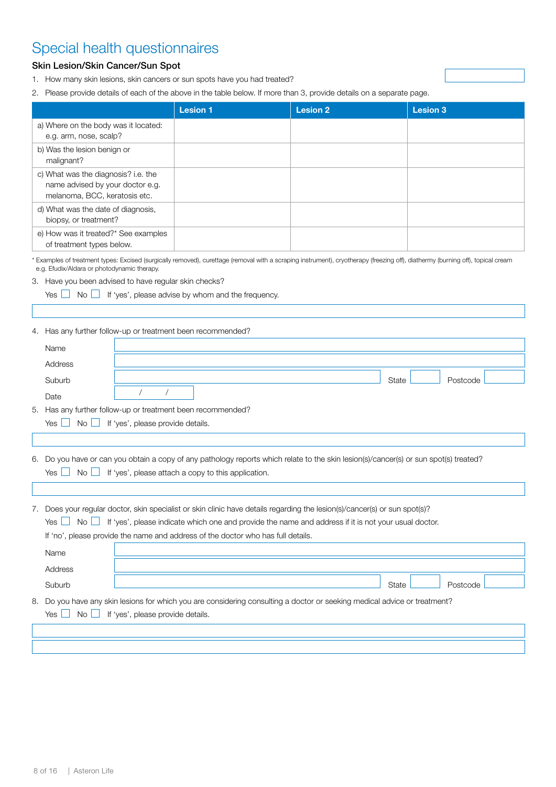#### Skin Lesion/Skin Cancer/Sun Spot

- 1. How many skin lesions, skin cancers or sun spots have you had treated?
- 2. Please provide details of each of the above in the table below. If more than 3, provide details on a separate page.

|                                                                                                                                                                                                                              | <b>Lesion 1</b>                                                                                      | <b>Lesion 2</b> | <b>Lesion 3</b>   |
|------------------------------------------------------------------------------------------------------------------------------------------------------------------------------------------------------------------------------|------------------------------------------------------------------------------------------------------|-----------------|-------------------|
| a) Where on the body was it located:                                                                                                                                                                                         |                                                                                                      |                 |                   |
| e.g. arm, nose, scalp?                                                                                                                                                                                                       |                                                                                                      |                 |                   |
| b) Was the lesion benign or<br>malignant?                                                                                                                                                                                    |                                                                                                      |                 |                   |
| c) What was the diagnosis? i.e. the                                                                                                                                                                                          |                                                                                                      |                 |                   |
| name advised by your doctor e.g.<br>melanoma, BCC, keratosis etc.                                                                                                                                                            |                                                                                                      |                 |                   |
| d) What was the date of diagnosis,<br>biopsy, or treatment?                                                                                                                                                                  |                                                                                                      |                 |                   |
| e) How was it treated?* See examples                                                                                                                                                                                         |                                                                                                      |                 |                   |
| of treatment types below.                                                                                                                                                                                                    |                                                                                                      |                 |                   |
| Examples of treatment types: Excised (surgically removed), curettage (removal with a scraping instrument), cryotherapy (freezing off), diathermy (burning off), topical cream<br>e.g. Efudix/Aldara or photodynamic therapy. |                                                                                                      |                 |                   |
| 3. Have you been advised to have regular skin checks?                                                                                                                                                                        |                                                                                                      |                 |                   |
| No l<br>Yes L                                                                                                                                                                                                                | $\Box$ If 'yes', please advise by whom and the frequency.                                            |                 |                   |
|                                                                                                                                                                                                                              |                                                                                                      |                 |                   |
| 4. Has any further follow-up or treatment been recommended?                                                                                                                                                                  |                                                                                                      |                 |                   |
| Name                                                                                                                                                                                                                         |                                                                                                      |                 |                   |
| Address                                                                                                                                                                                                                      |                                                                                                      |                 |                   |
| Suburb                                                                                                                                                                                                                       |                                                                                                      |                 | State<br>Postcode |
| $\sqrt{2}$<br>$\sqrt{2}$<br>Date                                                                                                                                                                                             |                                                                                                      |                 |                   |
| 5. Has any further follow-up or treatment been recommended?                                                                                                                                                                  |                                                                                                      |                 |                   |
| If 'yes', please provide details.<br>Yes  <br>$No$ $\Box$<br>- 1                                                                                                                                                             |                                                                                                      |                 |                   |
|                                                                                                                                                                                                                              |                                                                                                      |                 |                   |
| 6. Do you have or can you obtain a copy of any pathology reports which relate to the skin lesion(s)/cancer(s) or sun spot(s) treated?                                                                                        |                                                                                                      |                 |                   |
| Yes $\Box$<br>No l                                                                                                                                                                                                           | If 'yes', please attach a copy to this application.                                                  |                 |                   |
|                                                                                                                                                                                                                              |                                                                                                      |                 |                   |
| 7. Does your regular doctor, skin specialist or skin clinic have details regarding the lesion(s)/cancer(s) or sun spot(s)?                                                                                                   |                                                                                                      |                 |                   |
| Yes<br>No.                                                                                                                                                                                                                   | If 'yes', please indicate which one and provide the name and address if it is not your usual doctor. |                 |                   |
| If 'no', please provide the name and address of the doctor who has full details.                                                                                                                                             |                                                                                                      |                 |                   |
| Name                                                                                                                                                                                                                         |                                                                                                      |                 |                   |
| Address                                                                                                                                                                                                                      |                                                                                                      |                 |                   |
| Suburb                                                                                                                                                                                                                       |                                                                                                      |                 | State<br>Postcode |
| Do you have any skin lesions for which you are considering consulting a doctor or seeking medical advice or treatment?<br>8.                                                                                                 |                                                                                                      |                 |                   |
| If 'yes', please provide details.<br>Yes  <br>No                                                                                                                                                                             |                                                                                                      |                 |                   |
|                                                                                                                                                                                                                              |                                                                                                      |                 |                   |
|                                                                                                                                                                                                                              |                                                                                                      |                 |                   |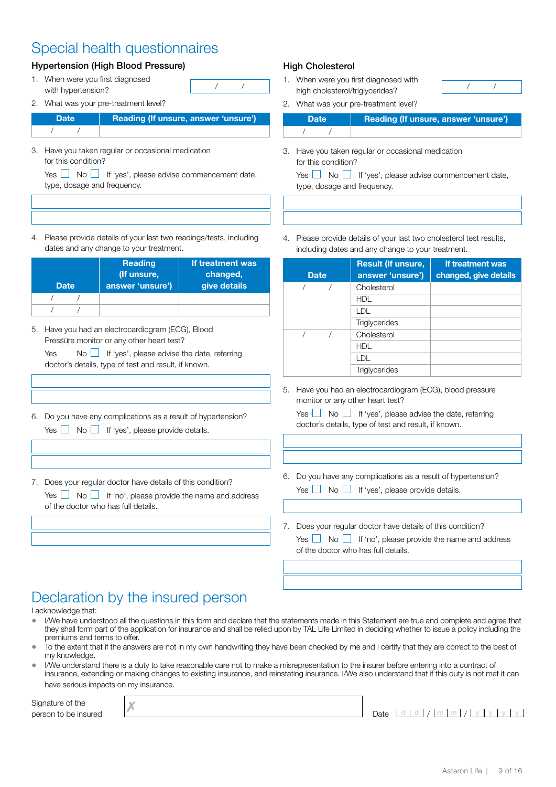#### Hypertension (High Blood Pressure)

- 1. When were you first diagnosed with hypertension?
- 2. What was your pre-treatment level?

| <b>Date</b> | <b>Reading (If unsure, answer 'unsure')</b> |
|-------------|---------------------------------------------|
|             |                                             |

3. Have you taken regular or occasional medication for this condition?

Yes No If 'yes', please advise commencement date, type, dosage and frequency.

4. Please provide details of your last two readings/tests, including dates and any change to your treatment.

| <b>Date</b> | <b>Reading</b><br>(If unsure,<br>answer 'unsure') | If treatment was<br>changed,<br>give details |  |  |
|-------------|---------------------------------------------------|----------------------------------------------|--|--|
|             |                                                   |                                              |  |  |
|             |                                                   |                                              |  |  |

5. Have you had an electrocardiogram (ECG), Blood Pressure monitor or any other heart test? Yes  $\Box$  If 'yes', please advise the date, referring

doctor's details, type of test and result, if known.

- 6. Do you have any complications as a result of hypertension?  $Yes \tN$  No  $\Box$  If 'yes', please provide details.
- 7. Does your regular doctor have details of this condition?

Yes No If 'no', please provide the name and address of the doctor who has full details.

#### High Cholesterol

1. When were you first diagnosed with high cholesterol/triglycerides?

2. What was your pre-treatment level?

| <b>Date</b> | Reading (If unsure, answer 'unsure') |
|-------------|--------------------------------------|
|             |                                      |

3. Have you taken regular or occasional medication for this condition?

Yes No If 'yes', please advise commencement date, type, dosage and frequency.

4. Please provide details of your last two cholesterol test results, including dates and any change to your treatment.

| <b>Date</b> | <b>Result (If unsure,</b><br>answer 'unsure') | If treatment was<br>changed, give details |  |  |  |
|-------------|-----------------------------------------------|-------------------------------------------|--|--|--|
|             | Cholesterol                                   |                                           |  |  |  |
|             | <b>HDL</b>                                    |                                           |  |  |  |
|             | LDL                                           |                                           |  |  |  |
|             | <b>Triglycerides</b>                          |                                           |  |  |  |
|             | Cholesterol                                   |                                           |  |  |  |
|             | <b>HDL</b>                                    |                                           |  |  |  |
|             | I DL                                          |                                           |  |  |  |
|             | <b>Triglycerides</b>                          |                                           |  |  |  |

5. Have you had an electrocardiogram (ECG), blood pressure monitor or any other heart test?

Yes  $\Box$  No  $\Box$  If 'yes', please advise the date, referring doctor's details, type of test and result, if known.

- 6. Do you have any complications as a result of hypertension? Yes No If 'yes', please provide details.
- 7. Does your regular doctor have details of this condition?  $Yes \tNo \tI$  f 'no', please provide the name and address of the doctor who has full details.

### Declaration by the insured person

I acknowledge that:

- I/We have understood all the questions in this form and declare that the statements made in this Statement are true and complete and agree that they shall form part of the application for insurance and shall be relied upon by TAL Life Limited in deciding whether to issue a policy including the premiums and terms to offer.
- To the extent that if the answers are not in my own handwriting they have been checked by me and I certify that they are correct to the best of my knowledge.
- I/We understand there is a duty to take reasonable care not to make a misrepresentation to the insurer before entering into a contract of insurance, extending or making changes to existing insurance, and reinstating insurance. I/We also understand that if this duty is not met it can have serious impacts on my insurance.

Signature of the person to be insured

| Date $\lfloor d \rfloor d$ / $\lfloor m \rfloor m$ / $\lfloor y \rfloor y$ $\lfloor y \rfloor y$ |  |  |  |  |  |
|--------------------------------------------------------------------------------------------------|--|--|--|--|--|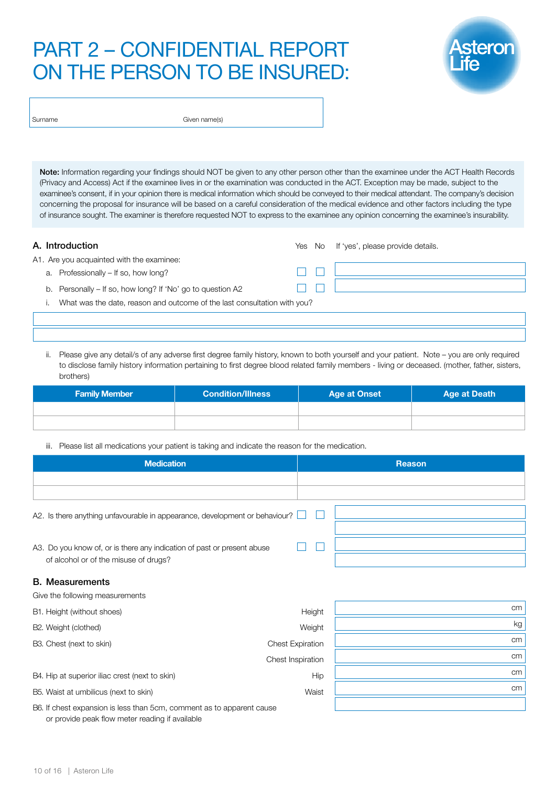# PART 2 – CONFIDENTIAL REPORT ON THE PERSON TO BE INSURED:



Surname Given name(s)

Note: Information regarding your findings should NOT be given to any other person other than the examinee under the ACT Health Records (Privacy and Access) Act if the examinee lives in or the examination was conducted in the ACT. Exception may be made, subject to the examinee's consent, if in your opinion there is medical information which should be conveyed to their medical attendant. The company's decision concerning the proposal for insurance will be based on a careful consideration of the medical evidence and other factors including the type of insurance sought. The examiner is therefore requested NOT to express to the examinee any opinion concerning the examinee's insurability.

#### A. Introduction **A. Introduction** The Manuscription of the Ves No If 'yes', please provide details.

| A1. Are you acquainted with the examinee:                                |  |
|--------------------------------------------------------------------------|--|
| a. Professionally – If so, how long?                                     |  |
| b. Personally – If so, how long? If 'No' go to question A2               |  |
| What was the date, reason and outcome of the last consultation with you? |  |
|                                                                          |  |

ii. Please give any detail/s of any adverse first degree family history, known to both yourself and your patient. Note – you are only required to disclose family history information pertaining to first degree blood related family members - living or deceased. (mother, father, sisters, brothers)

| <b>Family Member</b> | <b>Condition/Illness</b> | <b>Age at Onset</b> | <b>Age at Death</b> |
|----------------------|--------------------------|---------------------|---------------------|
|                      |                          |                     |                     |
|                      |                          |                     |                     |

iii. Please list all medications your patient is taking and indicate the reason for the medication.

| <b>Medication</b>                                                           |                                                                       | <b>Reason</b> |  |  |
|-----------------------------------------------------------------------------|-----------------------------------------------------------------------|---------------|--|--|
|                                                                             |                                                                       |               |  |  |
|                                                                             |                                                                       |               |  |  |
| A2. Is there anything unfavourable in appearance, development or behaviour? |                                                                       |               |  |  |
|                                                                             |                                                                       |               |  |  |
| A3. Do you know of, or is there any indication of past or present abuse     |                                                                       |               |  |  |
| of alcohol or of the misuse of drugs?                                       |                                                                       |               |  |  |
| <b>B.</b> Measurements                                                      |                                                                       |               |  |  |
| Give the following measurements                                             |                                                                       |               |  |  |
| B1. Height (without shoes)                                                  | Height                                                                | cm            |  |  |
| B2. Weight (clothed)                                                        | Weight                                                                | kg            |  |  |
| B3. Chest (next to skin)                                                    | <b>Chest Expiration</b>                                               | cm            |  |  |
|                                                                             | Chest Inspiration                                                     | cm            |  |  |
| B4. Hip at superior iliac crest (next to skin)                              | <b>Hip</b>                                                            | cm            |  |  |
| B5. Waist at umbilicus (next to skin)                                       | Waist                                                                 | cm            |  |  |
|                                                                             | B6. If chest expansion is less than 5cm, comment as to apparent cause |               |  |  |

or provide peak flow meter reading if available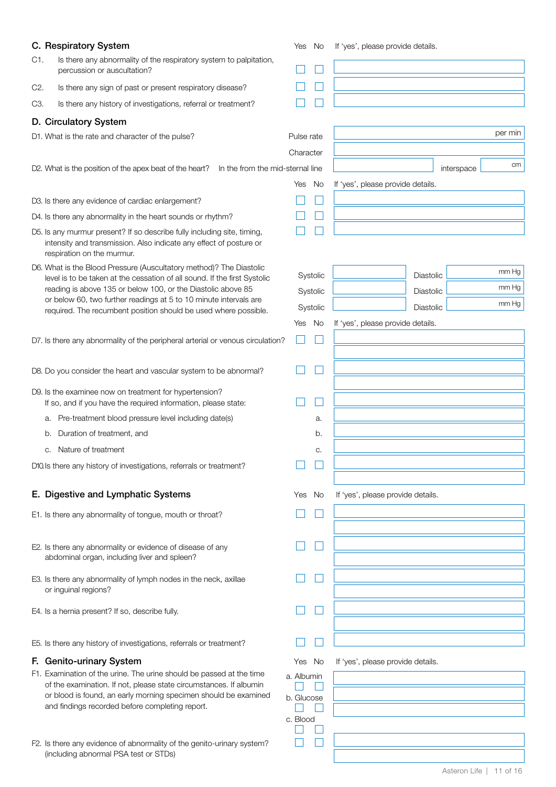|                                                                      | C. Respiratory System                                                                                                                                                                                                                                            | Yes        | No       | If 'yes', please provide details. |           |                  |
|----------------------------------------------------------------------|------------------------------------------------------------------------------------------------------------------------------------------------------------------------------------------------------------------------------------------------------------------|------------|----------|-----------------------------------|-----------|------------------|
| C1.                                                                  | Is there any abnormality of the respiratory system to palpitation,<br>percussion or auscultation?                                                                                                                                                                |            |          |                                   |           |                  |
| C2.                                                                  | Is there any sign of past or present respiratory disease?                                                                                                                                                                                                        |            |          |                                   |           |                  |
| C3.                                                                  | Is there any history of investigations, referral or treatment?                                                                                                                                                                                                   |            |          |                                   |           |                  |
|                                                                      | D. Circulatory System                                                                                                                                                                                                                                            |            |          |                                   |           |                  |
|                                                                      | D1. What is the rate and character of the pulse?                                                                                                                                                                                                                 | Pulse rate |          |                                   |           | per min          |
|                                                                      |                                                                                                                                                                                                                                                                  | Character  |          |                                   |           |                  |
|                                                                      | In the from the mid-sternal line<br>D2. What is the position of the apex beat of the heart?                                                                                                                                                                      |            |          |                                   |           | cm<br>interspace |
|                                                                      |                                                                                                                                                                                                                                                                  | Yes        | No       | If 'yes', please provide details. |           |                  |
|                                                                      | D3. Is there any evidence of cardiac enlargement?                                                                                                                                                                                                                |            |          |                                   |           |                  |
|                                                                      | D4. Is there any abnormality in the heart sounds or rhythm?                                                                                                                                                                                                      |            |          |                                   |           |                  |
|                                                                      | D5. Is any murmur present? If so describe fully including site, timing,<br>intensity and transmission. Also indicate any effect of posture or<br>respiration on the murmur.                                                                                      |            |          |                                   |           |                  |
|                                                                      | D6. What is the Blood Pressure (Auscultatory method)? The Diastolic                                                                                                                                                                                              |            | Systolic |                                   | Diastolic | mm Hg            |
|                                                                      | level is to be taken at the cessation of all sound. If the first Systolic<br>reading is above 135 or below 100, or the Diastolic above 85                                                                                                                        |            | Systolic |                                   | Diastolic | mm Hg            |
|                                                                      | or below 60, two further readings at 5 to 10 minute intervals are                                                                                                                                                                                                |            | Systolic |                                   | Diastolic | mm Hg            |
|                                                                      | required. The recumbent position should be used where possible.                                                                                                                                                                                                  | Yes        | No       | If 'yes', please provide details. |           |                  |
|                                                                      |                                                                                                                                                                                                                                                                  |            |          |                                   |           |                  |
|                                                                      | D7. Is there any abnormality of the peripheral arterial or venous circulation?                                                                                                                                                                                   |            |          |                                   |           |                  |
|                                                                      | D8. Do you consider the heart and vascular system to be abnormal?                                                                                                                                                                                                |            |          |                                   |           |                  |
|                                                                      | D9. Is the examinee now on treatment for hypertension?                                                                                                                                                                                                           |            |          |                                   |           |                  |
|                                                                      | If so, and if you have the required information, please state:                                                                                                                                                                                                   |            |          |                                   |           |                  |
| a.                                                                   | Pre-treatment blood pressure level including date(s)                                                                                                                                                                                                             |            | a.       |                                   |           |                  |
| b.                                                                   | Duration of treatment, and                                                                                                                                                                                                                                       |            | b.       |                                   |           |                  |
| Nature of treatment<br>С.                                            |                                                                                                                                                                                                                                                                  |            | C.       |                                   |           |                  |
| D10. Is there any history of investigations, referrals or treatment? |                                                                                                                                                                                                                                                                  |            |          |                                   |           |                  |
| E. Digestive and Lymphatic Systems                                   |                                                                                                                                                                                                                                                                  | Yes No     |          | If 'yes', please provide details. |           |                  |
|                                                                      | E1. Is there any abnormality of tongue, mouth or throat?                                                                                                                                                                                                         |            |          |                                   |           |                  |
|                                                                      | E2. Is there any abnormality or evidence of disease of any<br>abdominal organ, including liver and spleen?                                                                                                                                                       |            |          |                                   |           |                  |
|                                                                      |                                                                                                                                                                                                                                                                  |            |          |                                   |           |                  |
|                                                                      | E3. Is there any abnormality of lymph nodes in the neck, axillae<br>or inguinal regions?                                                                                                                                                                         |            |          |                                   |           |                  |
|                                                                      | E4. Is a hernia present? If so, describe fully.                                                                                                                                                                                                                  |            |          |                                   |           |                  |
|                                                                      |                                                                                                                                                                                                                                                                  |            |          |                                   |           |                  |
|                                                                      | E5. Is there any history of investigations, referrals or treatment?                                                                                                                                                                                              |            |          |                                   |           |                  |
| Е.                                                                   | <b>Genito-urinary System</b>                                                                                                                                                                                                                                     | Yes        | No       | If 'yes', please provide details. |           |                  |
|                                                                      | F1. Examination of the urine. The urine should be passed at the time<br>of the examination. If not, please state circumstances. If albumin<br>or blood is found, an early morning specimen should be examined<br>and findings recorded before completing report. | a. Albumin |          |                                   |           |                  |
|                                                                      |                                                                                                                                                                                                                                                                  | b. Glucose |          |                                   |           |                  |
|                                                                      |                                                                                                                                                                                                                                                                  |            |          |                                   |           |                  |
|                                                                      |                                                                                                                                                                                                                                                                  | c. Blood   |          |                                   |           |                  |
|                                                                      | F2. Is there any evidence of abnormality of the genito-urinary system?                                                                                                                                                                                           |            |          |                                   |           |                  |
|                                                                      | (including abnormal PSA test or STDs)                                                                                                                                                                                                                            |            |          |                                   |           |                  |

Asteron Life | 11 of 16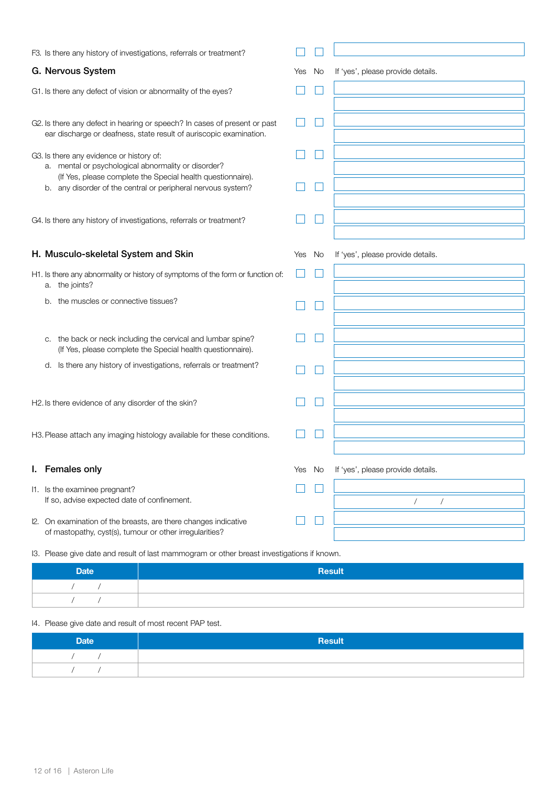| F3. Is there any history of investigations, referrals or treatment? |                                                                                                                                                 |     |     |                                   |
|---------------------------------------------------------------------|-------------------------------------------------------------------------------------------------------------------------------------------------|-----|-----|-----------------------------------|
|                                                                     | G. Nervous System                                                                                                                               | Yes | No  | If 'yes', please provide details. |
|                                                                     | G1. Is there any defect of vision or abnormality of the eyes?                                                                                   |     |     |                                   |
|                                                                     |                                                                                                                                                 |     |     |                                   |
|                                                                     | G2. Is there any defect in hearing or speech? In cases of present or past<br>ear discharge or deafness, state result of auriscopic examination. |     |     |                                   |
|                                                                     |                                                                                                                                                 |     |     |                                   |
|                                                                     | G3. Is there any evidence or history of:<br>a. mental or psychological abnormality or disorder?                                                 |     |     |                                   |
|                                                                     | (If Yes, please complete the Special health questionnaire).<br>b. any disorder of the central or peripheral nervous system?                     |     |     |                                   |
|                                                                     |                                                                                                                                                 |     |     |                                   |
|                                                                     | G4. Is there any history of investigations, referrals or treatment?                                                                             |     |     |                                   |
|                                                                     |                                                                                                                                                 |     |     |                                   |
|                                                                     | H. Musculo-skeletal System and Skin                                                                                                             | Yes | No. | If 'yes', please provide details. |
|                                                                     | H1. Is there any abnormality or history of symptoms of the form or function of:<br>a. the joints?                                               |     |     |                                   |
|                                                                     | the muscles or connective tissues?<br>b.                                                                                                        |     |     |                                   |
|                                                                     |                                                                                                                                                 |     |     |                                   |
|                                                                     | the back or neck including the cervical and lumbar spine?<br>C.<br>(If Yes, please complete the Special health questionnaire).                  |     |     |                                   |
|                                                                     | Is there any history of investigations, referrals or treatment?<br>d.                                                                           |     |     |                                   |
|                                                                     |                                                                                                                                                 |     |     |                                   |
|                                                                     | H2. Is there evidence of any disorder of the skin?                                                                                              |     |     |                                   |
|                                                                     |                                                                                                                                                 |     |     |                                   |
|                                                                     | H3. Please attach any imaging histology available for these conditions.                                                                         |     |     |                                   |
|                                                                     |                                                                                                                                                 |     |     |                                   |
| ı.                                                                  | <b>Females only</b>                                                                                                                             | Yes | No. | If 'yes', please provide details. |
|                                                                     | I1. Is the examinee pregnant?<br>If so, advise expected date of confinement.                                                                    |     |     | $\sqrt{2}$<br>$\overline{1}$      |
|                                                                     |                                                                                                                                                 |     |     |                                   |
|                                                                     | I2. On examination of the breasts, are there changes indicative<br>of mastopathy, cyst(s), tumour or other irregularities?                      |     |     |                                   |
|                                                                     |                                                                                                                                                 |     |     |                                   |

I3. Please give date and result of last mammogram or other breast investigations if known.

| <b>Date</b> | <b>Result</b> |
|-------------|---------------|
|             |               |
|             |               |

#### I4. Please give date and result of most recent PAP test.

| <b>Date</b> | <b>Result</b> |
|-------------|---------------|
|             |               |
|             |               |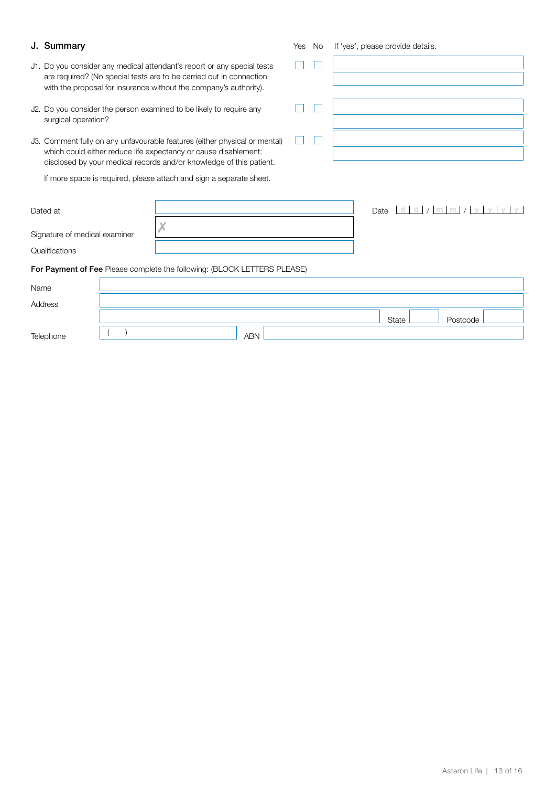|                               | J. Summary                                                                                 |                                                                                                                                                   | Yes | <b>No</b> | If 'yes', please provide details.                                    |
|-------------------------------|--------------------------------------------------------------------------------------------|---------------------------------------------------------------------------------------------------------------------------------------------------|-----|-----------|----------------------------------------------------------------------|
|                               | with the proposal for insurance without the company's authority).                          | J1. Do you consider any medical attendant's report or any special tests<br>are required? (No special tests are to be carried out in connection    |     |           |                                                                      |
|                               | J2. Do you consider the person examined to be likely to require any<br>surgical operation? |                                                                                                                                                   |     |           |                                                                      |
|                               | which could either reduce life expectancy or cause disablement:                            | J3. Comment fully on any unfavourable features (either physical or mental)<br>disclosed by your medical records and/or knowledge of this patient. |     |           |                                                                      |
|                               |                                                                                            | If more space is required, please attach and sign a separate sheet.                                                                               |     |           |                                                                      |
|                               | Dated at                                                                                   |                                                                                                                                                   |     |           | Date $\lfloor d \rfloor / \lfloor m \rfloor m / \lfloor y \rfloor y$ |
| Signature of medical examiner |                                                                                            | X                                                                                                                                                 |     |           |                                                                      |
| Qualifications                |                                                                                            |                                                                                                                                                   |     |           |                                                                      |
|                               |                                                                                            | For Payment of Fee Please complete the following: (BLOCK LETTERS PLEASE)                                                                          |     |           |                                                                      |
| Name                          |                                                                                            |                                                                                                                                                   |     |           |                                                                      |
|                               | Address                                                                                    |                                                                                                                                                   |     |           |                                                                      |
|                               |                                                                                            |                                                                                                                                                   |     |           | State<br>Postcode                                                    |
|                               | Telephone                                                                                  | <b>ABN</b>                                                                                                                                        |     |           |                                                                      |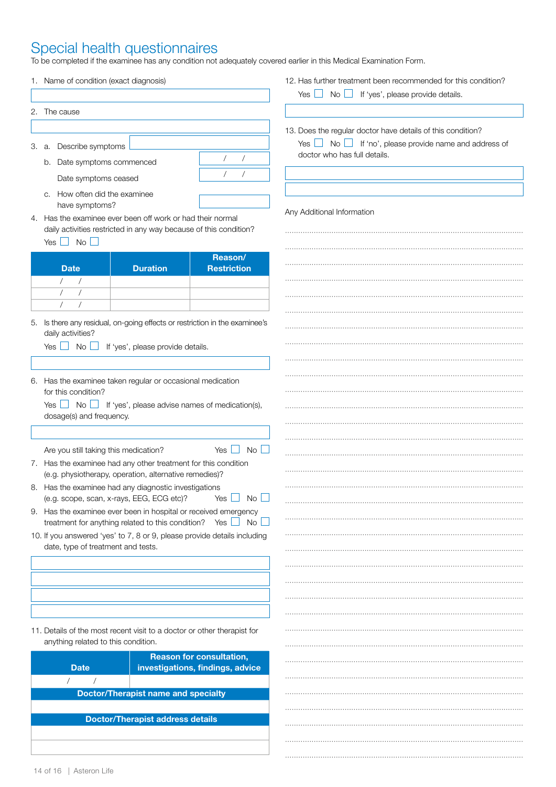Special health questionnaires<br>To be completed if the examinee has any condition not adequately covered earlier in this Medical Examination Form.

| 1. Name of condition (exact diagnosis)                                                                                                                                                | 12. Has further treatment been recommended for this condition?<br>Yes $\Box$ No $\Box$ If 'yes', please provide details. |  |  |
|---------------------------------------------------------------------------------------------------------------------------------------------------------------------------------------|--------------------------------------------------------------------------------------------------------------------------|--|--|
| 2. The cause                                                                                                                                                                          |                                                                                                                          |  |  |
| 3. a. Describe symptoms<br>$\sqrt{2}$<br>Date symptoms commenced<br>b.<br>Date symptoms ceased                                                                                        | 13. Does the regular doctor have details of this condition?<br>doctor who has full details.                              |  |  |
| c. How often did the examinee<br>have symptoms?                                                                                                                                       | Any Additional Information                                                                                               |  |  |
| 4. Has the examinee ever been off work or had their normal<br>daily activities restricted in any way because of this condition?<br>Yes $\Box$ No $\Box$                               |                                                                                                                          |  |  |
| Reason/<br><b>Duration</b><br><b>Restriction</b><br><b>Date</b><br>$\sqrt{2}$                                                                                                         |                                                                                                                          |  |  |
| 5. Is there any residual, on-going effects or restriction in the examinee's<br>daily activities?<br>Yes $\Box$ No $\Box$<br>If 'yes', please provide details.                         |                                                                                                                          |  |  |
| 6. Has the examinee taken regular or occasional medication<br>for this condition?<br>Yes $\Box$ No $\Box$ If 'yes', please advise names of medication(s),<br>dosage(s) and frequency. |                                                                                                                          |  |  |
| Yes $\Box$<br>Are you still taking this medication?<br>7. Has the examinee had any other treatment for this condition<br>(e.g. physiotherapy, operation, alternative remedies)?       | No l                                                                                                                     |  |  |
| 8. Has the examinee had any diagnostic investigations<br>(e.g. scope, scan, x-rays, EEG, ECG etc)?<br>Yes [<br>9. Has the examinee ever been in hospital or received emergency        | No                                                                                                                       |  |  |
| treatment for anything related to this condition? Yes $\Box$ No $\Box$<br>10. If you answered 'yes' to 7, 8 or 9, please provide details including                                    |                                                                                                                          |  |  |
| date, type of treatment and tests.                                                                                                                                                    |                                                                                                                          |  |  |
| 11. Details of the most recent visit to a doctor or other therapist for<br>anything related to this condition.                                                                        |                                                                                                                          |  |  |
| <b>Reason for consultation,</b><br>investigations, findings, advice<br><b>Date</b><br><b>Doctor/Therapist name and specialty</b>                                                      |                                                                                                                          |  |  |
| <b>Doctor/Therapist address details</b>                                                                                                                                               |                                                                                                                          |  |  |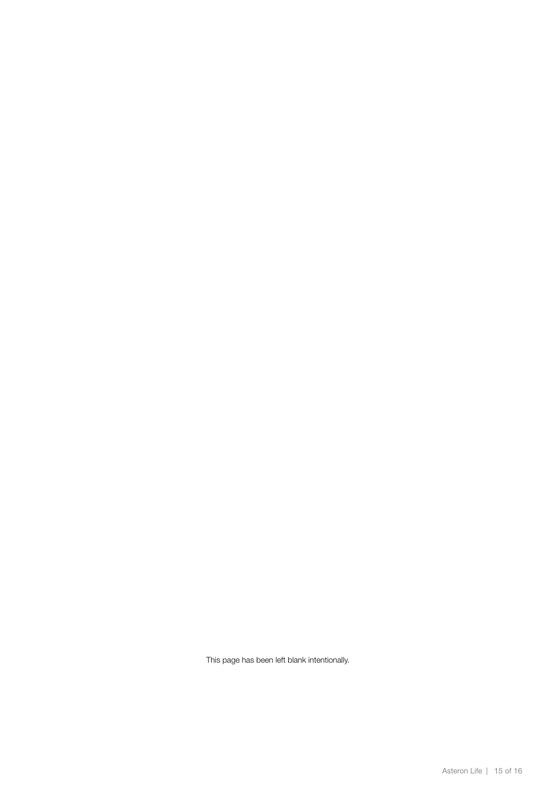This page has been left blank intentionally.